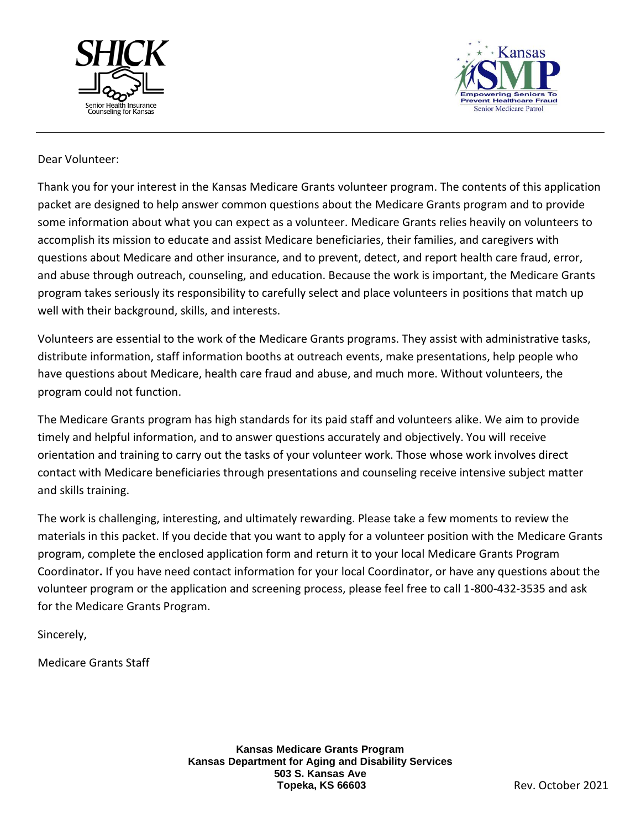



### Dear Volunteer:

Thank you for your interest in the Kansas Medicare Grants volunteer program. The contents of this application packet are designed to help answer common questions about the Medicare Grants program and to provide some information about what you can expect as a volunteer. Medicare Grants relies heavily on volunteers to accomplish its mission to educate and assist Medicare beneficiaries, their families, and caregivers with questions about Medicare and other insurance, and to prevent, detect, and report health care fraud, error, and abuse through outreach, counseling, and education. Because the work is important, the Medicare Grants program takes seriously its responsibility to carefully select and place volunteers in positions that match up well with their background, skills, and interests.

Volunteers are essential to the work of the Medicare Grants programs. They assist with administrative tasks, distribute information, staff information booths at outreach events, make presentations, help people who have questions about Medicare, health care fraud and abuse, and much more. Without volunteers, the program could not function.

The Medicare Grants program has high standards for its paid staff and volunteers alike. We aim to provide timely and helpful information, and to answer questions accurately and objectively. You will receive orientation and training to carry out the tasks of your volunteer work. Those whose work involves direct contact with Medicare beneficiaries through presentations and counseling receive intensive subject matter and skills training.

The work is challenging, interesting, and ultimately rewarding. Please take a few moments to review the materials in this packet. If you decide that you want to apply for a volunteer position with the Medicare Grants program, complete the enclosed application form and return it to your local Medicare Grants Program Coordinator**.** If you have need contact information for your local Coordinator, or have any questions about the volunteer program or the application and screening process, please feel free to call 1-800-432-3535 and ask for the Medicare Grants Program.

Sincerely,

Medicare Grants Staff

**Kansas Medicare Grants Program Kansas Department for Aging and Disability Services 503 S. Kansas Ave Topeka, KS 66603** Rev. October 2021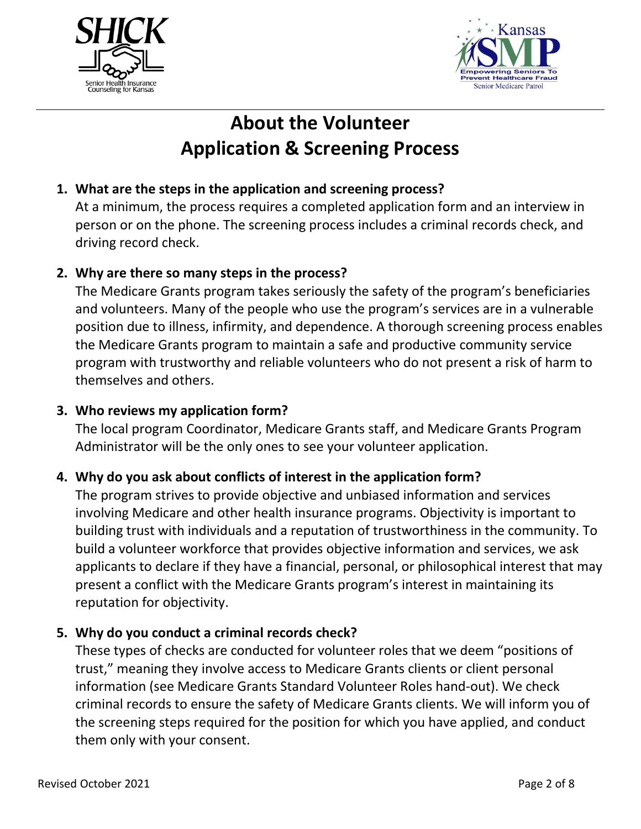



# **About the Volunteer Application & Screening Process**

## **1. What are the steps in the application and screening process?**

At a minimum, the process requires a completed application form and an interview in person or on the phone. The screening process includes a criminal records check, and driving record check.

### **2. Why are there so many steps in the process?**

The Medicare Grants program takes seriously the safety of the program's beneficiaries and volunteers. Many of the people who use the program's services are in a vulnerable position due to illness, infirmity, and dependence. A thorough screening process enables the Medicare Grants program to maintain a safe and productive community service program with trustworthy and reliable volunteers who do not present a risk of harm to themselves and others.

### **3. Who reviews my application form?**

The local program Coordinator, Medicare Grants staff, and Medicare Grants Program Administrator will be the only ones to see your volunteer application.

### **4. Why do you ask about conflicts of interest in the application form?**

The program strives to provide objective and unbiased information and services involving Medicare and other health insurance programs. Objectivity is important to building trust with individuals and a reputation of trustworthiness in the community. To build a volunteer workforce that provides objective information and services, we ask applicants to declare if they have a financial, personal, or philosophical interest that may present a conflict with the Medicare Grants program's interest in maintaining its reputation for objectivity.

### **5. Why do you conduct a criminal records check?**

These types of checks are conducted for volunteer roles that we deem "positions of trust," meaning they involve access to Medicare Grants clients or client personal information (see Medicare Grants Standard Volunteer Roles hand-out). We check criminal records to ensure the safety of Medicare Grants clients. We will inform you of the screening steps required for the position for which you have applied, and conduct them only with your consent.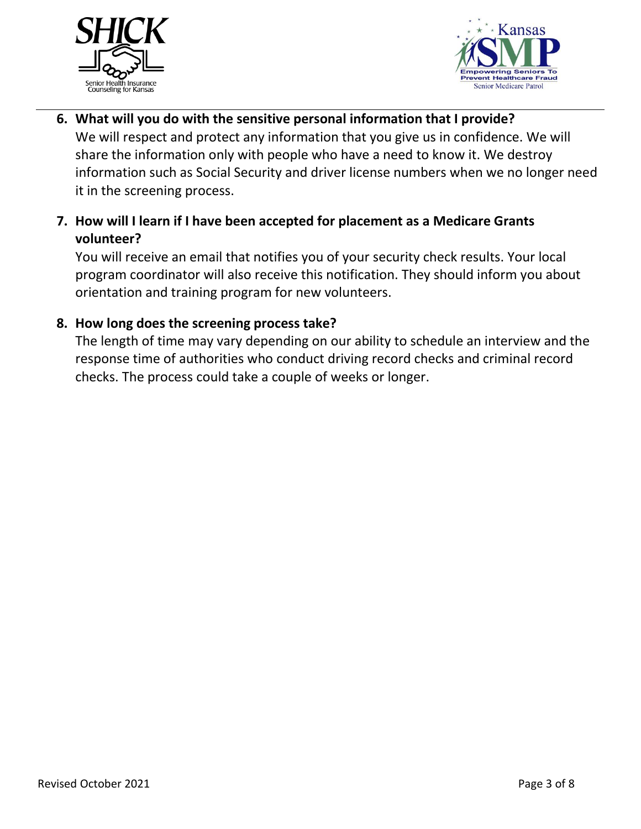



- **6. What will you do with the sensitive personal information that I provide?**  We will respect and protect any information that you give us in confidence. We will share the information only with people who have a need to know it. We destroy information such as Social Security and driver license numbers when we no longer need it in the screening process.
- **7. How will I learn if I have been accepted for placement as a Medicare Grants volunteer?**

You will receive an email that notifies you of your security check results. Your local program coordinator will also receive this notification. They should inform you about orientation and training program for new volunteers.

## **8. How long does the screening process take?**

The length of time may vary depending on our ability to schedule an interview and the response time of authorities who conduct driving record checks and criminal record checks. The process could take a couple of weeks or longer.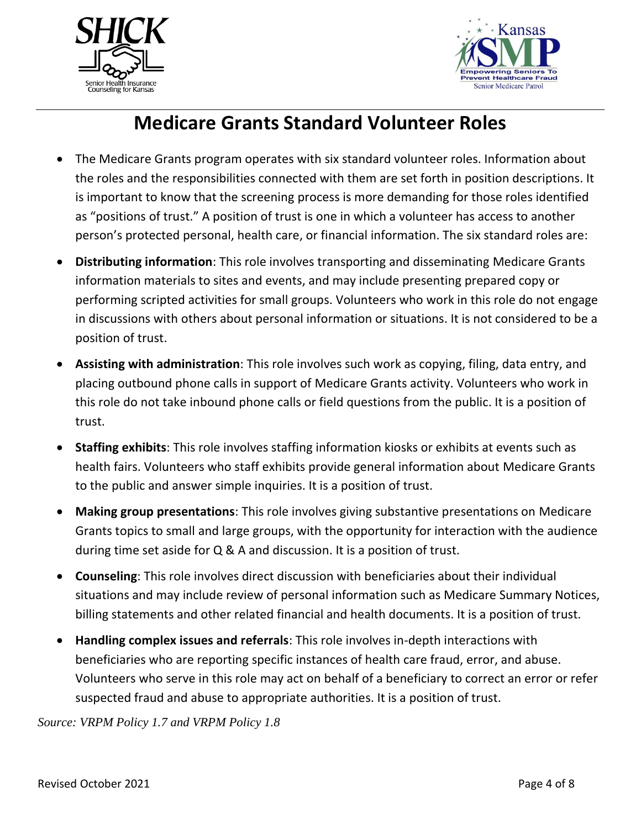



## **Medicare Grants Standard Volunteer Roles**

- The Medicare Grants program operates with six standard volunteer roles. Information about the roles and the responsibilities connected with them are set forth in position descriptions. It is important to know that the screening process is more demanding for those roles identified as "positions of trust." A position of trust is one in which a volunteer has access to another person's protected personal, health care, or financial information. The six standard roles are:
- **Distributing information**: This role involves transporting and disseminating Medicare Grants information materials to sites and events, and may include presenting prepared copy or performing scripted activities for small groups. Volunteers who work in this role do not engage in discussions with others about personal information or situations. It is not considered to be a position of trust.
- **Assisting with administration**: This role involves such work as copying, filing, data entry, and placing outbound phone calls in support of Medicare Grants activity. Volunteers who work in this role do not take inbound phone calls or field questions from the public. It is a position of trust.
- **Staffing exhibits**: This role involves staffing information kiosks or exhibits at events such as health fairs. Volunteers who staff exhibits provide general information about Medicare Grants to the public and answer simple inquiries. It is a position of trust.
- **Making group presentations**: This role involves giving substantive presentations on Medicare Grants topics to small and large groups, with the opportunity for interaction with the audience during time set aside for Q & A and discussion. It is a position of trust.
- **Counseling**: This role involves direct discussion with beneficiaries about their individual situations and may include review of personal information such as Medicare Summary Notices, billing statements and other related financial and health documents. It is a position of trust.
- **Handling complex issues and referrals**: This role involves in-depth interactions with beneficiaries who are reporting specific instances of health care fraud, error, and abuse. Volunteers who serve in this role may act on behalf of a beneficiary to correct an error or refer suspected fraud and abuse to appropriate authorities. It is a position of trust.

*Source: VRPM Policy 1.7 and VRPM Policy 1.8*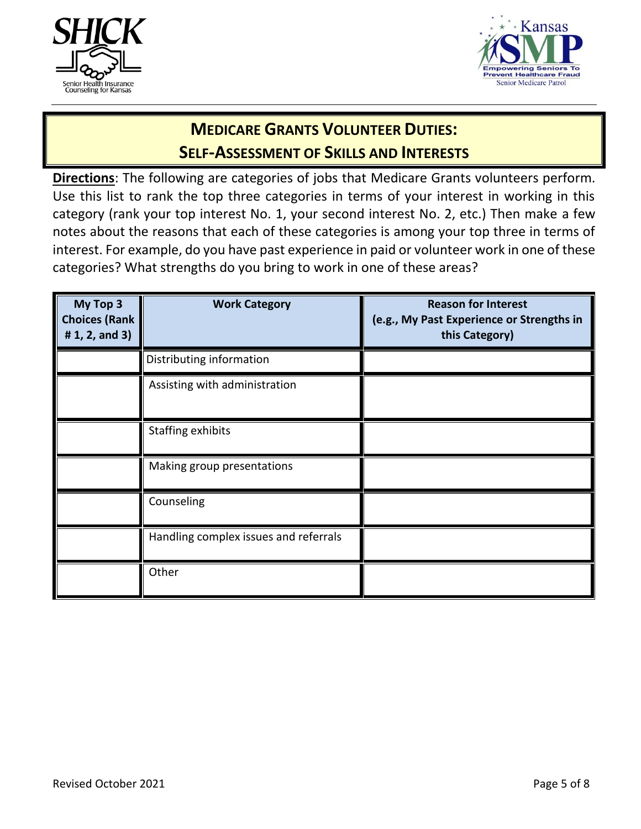



## **MEDICARE GRANTS VOLUNTEER DUTIES: SELF-ASSESSMENT OF SKILLS AND INTERESTS**

**Directions**: The following are categories of jobs that Medicare Grants volunteers perform. Use this list to rank the top three categories in terms of your interest in working in this category (rank your top interest No. 1, your second interest No. 2, etc.) Then make a few notes about the reasons that each of these categories is among your top three in terms of interest. For example, do you have past experience in paid or volunteer work in one of these categories? What strengths do you bring to work in one of these areas?

| My Top 3<br><b>Choices (Rank</b><br># $1, 2,$ and $3)$ | <b>Work Category</b>                  | <b>Reason for Interest</b><br>(e.g., My Past Experience or Strengths in<br>this Category) |
|--------------------------------------------------------|---------------------------------------|-------------------------------------------------------------------------------------------|
|                                                        | Distributing information              |                                                                                           |
|                                                        | Assisting with administration         |                                                                                           |
|                                                        | Staffing exhibits                     |                                                                                           |
|                                                        | Making group presentations            |                                                                                           |
|                                                        | Counseling                            |                                                                                           |
|                                                        | Handling complex issues and referrals |                                                                                           |
|                                                        | Other                                 |                                                                                           |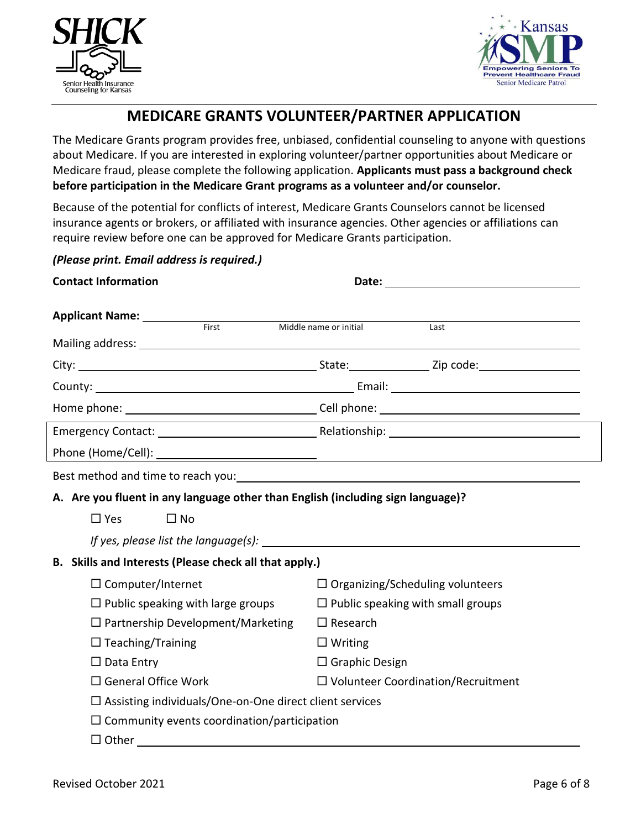



## **MEDICARE GRANTS VOLUNTEER/PARTNER APPLICATION**

The Medicare Grants program provides free, unbiased, confidential counseling to anyone with questions about Medicare. If you are interested in exploring volunteer/partner opportunities about Medicare or Medicare fraud, please complete the following application. **Applicants must pass a background check before participation in the Medicare Grant programs as a volunteer and/or counselor.**

Because of the potential for conflicts of interest, Medicare Grants Counselors cannot be licensed insurance agents or brokers, or affiliated with insurance agencies. Other agencies or affiliations can require review before one can be approved for Medicare Grants participation.

*(Please print. Email address is required.)*

| <b>Contact Information</b>                                                      |                                                                                                                        |      |  |  |  |  |  |
|---------------------------------------------------------------------------------|------------------------------------------------------------------------------------------------------------------------|------|--|--|--|--|--|
| Applicant Name: __________<br>First                                             |                                                                                                                        |      |  |  |  |  |  |
|                                                                                 | Middle name or initial                                                                                                 | Last |  |  |  |  |  |
|                                                                                 |                                                                                                                        |      |  |  |  |  |  |
|                                                                                 |                                                                                                                        |      |  |  |  |  |  |
|                                                                                 |                                                                                                                        |      |  |  |  |  |  |
|                                                                                 |                                                                                                                        |      |  |  |  |  |  |
|                                                                                 |                                                                                                                        |      |  |  |  |  |  |
|                                                                                 |                                                                                                                        |      |  |  |  |  |  |
| Best method and time to reach you:                                              | <u> 1980 - Johann Stein, marwolaethau a bhann an t-Albann an t-Albann an t-Albann an t-Albann an t-Albann an t-Alb</u> |      |  |  |  |  |  |
| A. Are you fluent in any language other than English (including sign language)? |                                                                                                                        |      |  |  |  |  |  |
| $\Box$ Yes<br>$\square$ No                                                      |                                                                                                                        |      |  |  |  |  |  |
|                                                                                 |                                                                                                                        |      |  |  |  |  |  |
| B. Skills and Interests (Please check all that apply.)                          |                                                                                                                        |      |  |  |  |  |  |
| $\Box$ Computer/Internet                                                        | $\Box$ Organizing/Scheduling volunteers                                                                                |      |  |  |  |  |  |
| $\Box$ Public speaking with large groups                                        | $\Box$ Public speaking with small groups                                                                               |      |  |  |  |  |  |
| $\Box$ Partnership Development/Marketing                                        | $\Box$ Research                                                                                                        |      |  |  |  |  |  |
| $\Box$ Teaching/Training                                                        | $\Box$ Writing                                                                                                         |      |  |  |  |  |  |
| $\Box$ Data Entry                                                               | $\Box$ Graphic Design                                                                                                  |      |  |  |  |  |  |
| $\Box$ General Office Work                                                      | □ Volunteer Coordination/Recruitment                                                                                   |      |  |  |  |  |  |
| $\Box$ Assisting individuals/One-on-One direct client services                  |                                                                                                                        |      |  |  |  |  |  |
| $\Box$ Community events coordination/participation                              |                                                                                                                        |      |  |  |  |  |  |
| $\Box$ Other                                                                    |                                                                                                                        |      |  |  |  |  |  |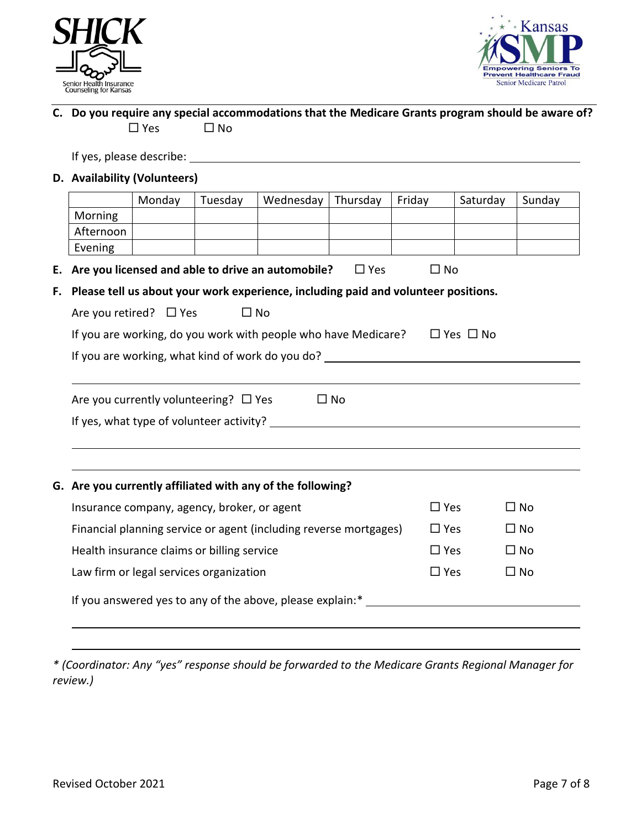



### **C. Do you require any special accommodations that the Medicare Grants program should be aware of?**  $\square$  Yes  $\square$  No

If yes, please describe:

### **D. Availability (Volunteers)**

|                                                                                                 | Monday | Tuesday                                    | Wednesday                                                  | Thursday   | Friday    | Saturday | Sunday |  |
|-------------------------------------------------------------------------------------------------|--------|--------------------------------------------|------------------------------------------------------------|------------|-----------|----------|--------|--|
| Morning                                                                                         |        |                                            |                                                            |            |           |          |        |  |
| Afternoon                                                                                       |        |                                            |                                                            |            |           |          |        |  |
| Evening                                                                                         |        |                                            |                                                            |            |           |          |        |  |
| Е.                                                                                              |        |                                            | Are you licensed and able to drive an automobile?          | $\Box$ Yes | $\Box$ No |          |        |  |
| Please tell us about your work experience, including paid and volunteer positions.<br>F.        |        |                                            |                                                            |            |           |          |        |  |
| Are you retired? $\Box$ Yes                                                                     |        |                                            | $\Box$ No                                                  |            |           |          |        |  |
| If you are working, do you work with people who have Medicare?<br>$\Box$ Yes $\Box$ No          |        |                                            |                                                            |            |           |          |        |  |
| If you are working, what kind of work do you do?                                                |        |                                            |                                                            |            |           |          |        |  |
|                                                                                                 |        |                                            |                                                            |            |           |          |        |  |
|                                                                                                 |        | Are you currently volunteering? $\Box$ Yes |                                                            | $\Box$ No  |           |          |        |  |
|                                                                                                 |        |                                            |                                                            |            |           |          |        |  |
|                                                                                                 |        |                                            |                                                            |            |           |          |        |  |
|                                                                                                 |        |                                            |                                                            |            |           |          |        |  |
|                                                                                                 |        |                                            | G. Are you currently affiliated with any of the following? |            |           |          |        |  |
| $\square$ No<br>Insurance company, agency, broker, or agent<br>$\square$ Yes                    |        |                                            |                                                            |            |           |          |        |  |
| Financial planning service or agent (including reverse mortgages)<br>$\square$ No<br>$\Box$ Yes |        |                                            |                                                            |            |           |          |        |  |
| Health insurance claims or billing service<br>$\square$ Yes<br>$\square$ No                     |        |                                            |                                                            |            |           |          |        |  |
| Law firm or legal services organization<br>$\square$ No<br>$\square$ Yes                        |        |                                            |                                                            |            |           |          |        |  |
|                                                                                                 |        |                                            | If you answered yes to any of the above, please explain:*  |            |           |          |        |  |
|                                                                                                 |        |                                            |                                                            |            |           |          |        |  |

*\* (Coordinator: Any "yes" response should be forwarded to the Medicare Grants Regional Manager for review.)*